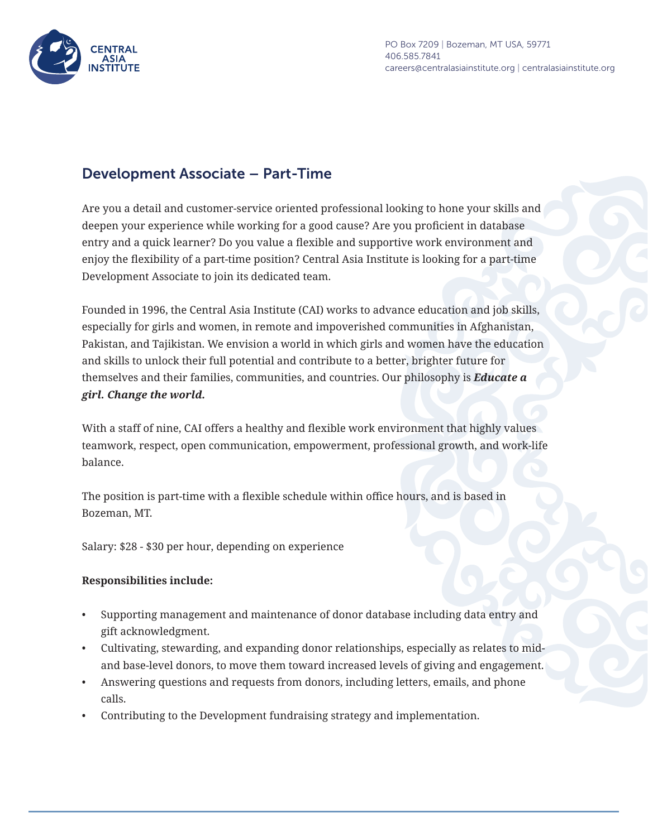

PO Box 7209 | Bozeman, MT USA, 59771 406.585.7841 careers@centralasiainstitute.org | centralasiainstitute.org

## Development Associate – Part-Time

Are you a detail and customer-service oriented professional looking to hone your skills and deepen your experience while working for a good cause? Are you proficient in database entry and a quick learner? Do you value a flexible and supportive work environment and enjoy the flexibility of a part-time position? Central Asia Institute is looking for a part-time Development Associate to join its dedicated team.

Founded in 1996, the Central Asia Institute (CAI) works to advance education and job skills, especially for girls and women, in remote and impoverished communities in Afghanistan, Pakistan, and Tajikistan. We envision a world in which girls and women have the education and skills to unlock their full potential and contribute to a better, brighter future for themselves and their families, communities, and countries. Our philosophy is *Educate a girl. Change the world.*

With a staff of nine, CAI offers a healthy and flexible work environment that highly values teamwork, respect, open communication, empowerment, professional growth, and work-life balance.

The position is part-time with a flexible schedule within office hours, and is based in Bozeman, MT.

Salary: \$28 - \$30 per hour, depending on experience

## **Responsibilities include:**

- Supporting management and maintenance of donor database including data entry and gift acknowledgment.
- Cultivating, stewarding, and expanding donor relationships, especially as relates to midand base-level donors, to move them toward increased levels of giving and engagement.
- Answering questions and requests from donors, including letters, emails, and phone calls.
- Contributing to the Development fundraising strategy and implementation.